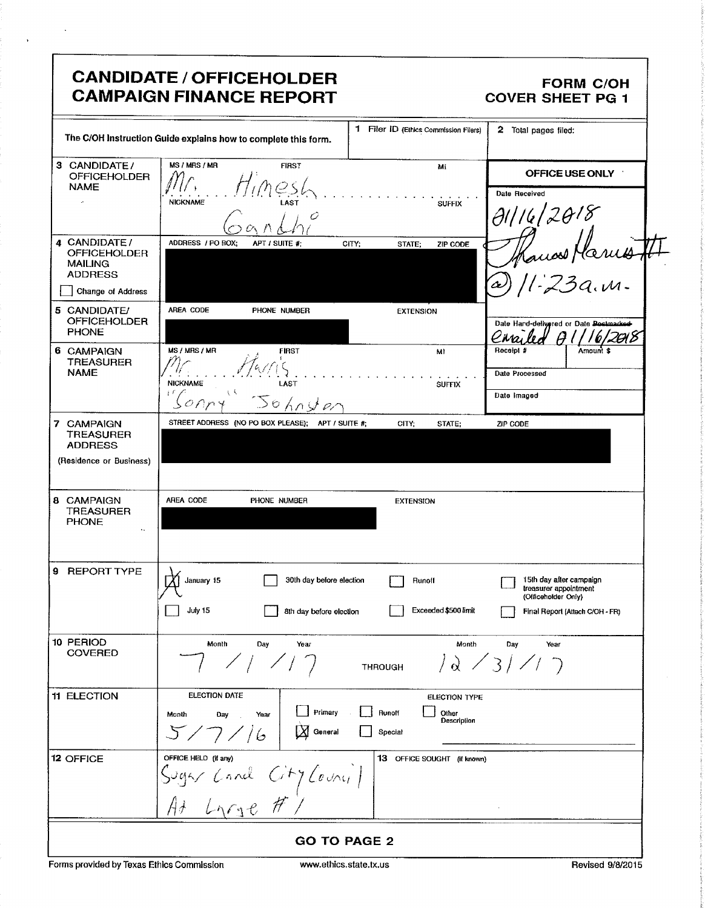|                                                                                              | <b>CANDIDATE / OFFICEHOLDER</b><br><b>CAMPAIGN FINANCE REPORT</b>            |                                                            | <b>FORM C/OH</b><br><b>COVER SHEET PG 1</b>                                                                |  |
|----------------------------------------------------------------------------------------------|------------------------------------------------------------------------------|------------------------------------------------------------|------------------------------------------------------------------------------------------------------------|--|
|                                                                                              | The C/OH Instruction Guide explains how to complete this form.               | 1 Filer ID (Ethics Commission Fliers)                      | 2 Total pages filed:                                                                                       |  |
| 3 CANDIDATE/<br><b>OFFICEHOLDER</b><br><b>NAME</b>                                           | <b>MS / MRS / MR</b><br><b>FIRST</b><br><b>NICKNAME</b><br>LAST              | Mi<br><b>SUFFIX</b>                                        | OFFICE USE ONLY<br>Date Received<br>01116/2018                                                             |  |
| 4 CANDIDATE/<br><b>OFFICEHOLDER</b><br><b>MAILING</b><br><b>ADDRESS</b><br>Change of Address | ADDRESS / PO BOX;<br>APT / SUITE #:                                          | CITY;<br>STATE;<br>ZIP CODE                                | uost Marius<br>: 73a. m.                                                                                   |  |
| 5 CANDIDATE/<br><b>OFFICEHOLDER</b><br><b>PHONE</b>                                          | AREA CODE<br>PHONE NUMBER                                                    | <b>EXTENSION</b>                                           | Date Hand-delivered or Date Doctmarked-<br>Eiva                                                            |  |
| 6 CAMPAIGN<br><b>TREASURER</b><br><b>NAME</b>                                                | MS / MRS / MR<br><b>FIRST</b><br><b>NICKNAME</b><br>LAST<br>Johnster         | MI<br><b>SUFFIX</b>                                        | Receipt #<br>Amount \$<br>Date Processed<br>Date Imaged                                                    |  |
| 7 CAMPAIGN<br><b>TREASURER</b><br><b>ADDRESS</b><br>(Residence or Business)                  | STREET ADDRESS (NO PO BOX PLEASE); APT / SUITE #;                            | CITY:<br>STATE;                                            | ZIP CODE                                                                                                   |  |
| 8 CAMPAIGN<br>TREASURER<br><b>PHONE</b><br>$\ddot{\phantom{a}}$                              | AREA CODE<br>PHONE NUMBER                                                    | <b>EXTENSION</b>                                           |                                                                                                            |  |
| 9 REPORT TYPE                                                                                | 30th day before election<br>January 15<br>July 15<br>8th day before election | Runoff<br>Exceeded \$500 limit                             | 15th day after campaign<br>treasurer appointment<br>(Officeholder Only)<br>Final Report (Attach C/OH - FR) |  |
| 10 PERIOD<br><b>COVERED</b>                                                                  | Month<br>Day<br>Year                                                         | Month<br><b>THROUGH</b>                                    | Year<br>Day<br>$\sqrt{d}$ / 3///                                                                           |  |
| <b>11 ELECTION</b>                                                                           | <b>ELECTION DATE</b><br>Primary<br>Month<br>Day<br>Year<br>5/7/16<br>General | ELECTION TYPE<br>Runoff<br>Other<br>Description<br>Special |                                                                                                            |  |
| 12 OFFICE                                                                                    | OFFICE HELD (if any)<br>Sugar Cand City Council                              | 13 OFFICE SOUGHT (if known)                                |                                                                                                            |  |
| <b>GO TO PAGE 2</b>                                                                          |                                                                              |                                                            |                                                                                                            |  |

Forms provided by Texas Ethics Commission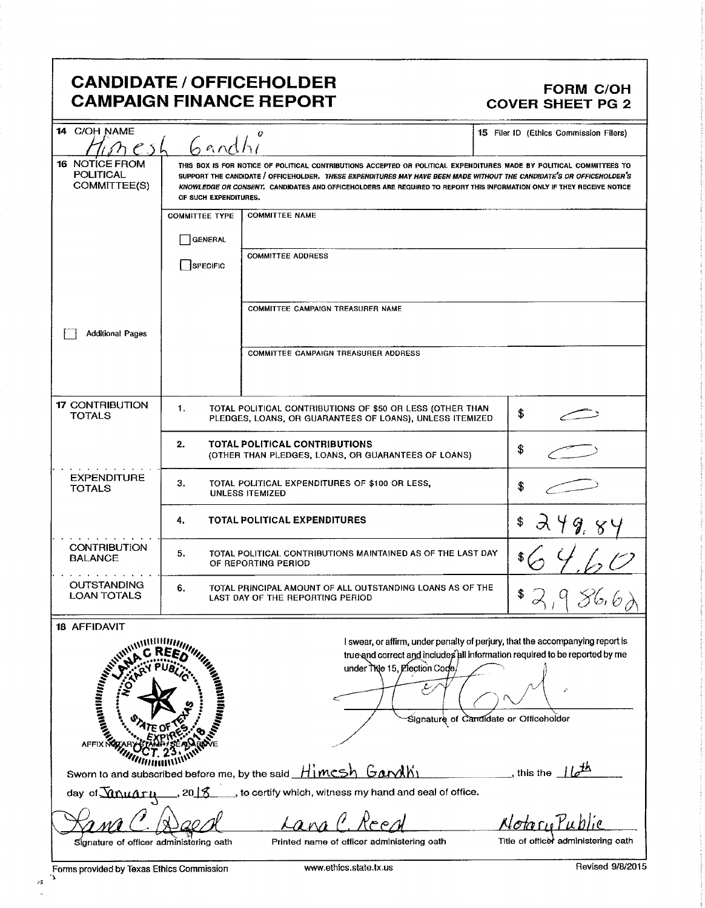## CANDIDATE / OFFICEHOLDER<br>CAMPAIGN FINANCE REPORT COVER SHEET PG 2 **CAMPAIGN FINANCE REPORT**

| 14 C/OH NAME                                                                                                                 |                                                                                                                                                                                                                                                                                                                                                                                                  | Ü                                                                                                                     | 15 Filer ID (Ethics Commission Filers)                                                                                                                                                                 |  |  |
|------------------------------------------------------------------------------------------------------------------------------|--------------------------------------------------------------------------------------------------------------------------------------------------------------------------------------------------------------------------------------------------------------------------------------------------------------------------------------------------------------------------------------------------|-----------------------------------------------------------------------------------------------------------------------|--------------------------------------------------------------------------------------------------------------------------------------------------------------------------------------------------------|--|--|
|                                                                                                                              | 6 andhi                                                                                                                                                                                                                                                                                                                                                                                          |                                                                                                                       |                                                                                                                                                                                                        |  |  |
| 16 NOTICE FROM<br><b>POLITICAL</b><br>COMMITTEE(S)                                                                           | THIS BOX IS FOR NOTICE OF POLITICAL CONTRIBUTIONS ACCEPTED OR POLITICAL EXPENDITURES MADE BY POLITICAL COMMITTEES TO<br>SUPPORT THE CANDIDATE / OFFICEHOLDER. THESE EXPENDITURES MAY HAVE BEEN MADE WITHOUT THE CANDIDATE'S OR OFFICEHOLDER'S<br>KNOWLEDGE OR CONSENT. CANDIDATES AND OFFICEHOLDERS ARE REQUIRED TO REPORT THIS INFORMATION ONLY IF THEY RECEIVE NOTICE<br>OF SUCH EXPENDITURES. |                                                                                                                       |                                                                                                                                                                                                        |  |  |
|                                                                                                                              | <b>COMMITTEE TYPE</b>                                                                                                                                                                                                                                                                                                                                                                            | <b>COMMITTEE NAME</b>                                                                                                 |                                                                                                                                                                                                        |  |  |
|                                                                                                                              | <b>GENERAL</b>                                                                                                                                                                                                                                                                                                                                                                                   |                                                                                                                       |                                                                                                                                                                                                        |  |  |
|                                                                                                                              | SPECIFIC                                                                                                                                                                                                                                                                                                                                                                                         | <b>COMMITTEE ADDRESS</b>                                                                                              |                                                                                                                                                                                                        |  |  |
|                                                                                                                              |                                                                                                                                                                                                                                                                                                                                                                                                  | COMMITTEE CAMPAIGN TREASURER NAME                                                                                     |                                                                                                                                                                                                        |  |  |
| <b>Additional Pages</b>                                                                                                      |                                                                                                                                                                                                                                                                                                                                                                                                  | <b>COMMITTEE CAMPAIGN TREASURER ADDRESS</b>                                                                           |                                                                                                                                                                                                        |  |  |
|                                                                                                                              |                                                                                                                                                                                                                                                                                                                                                                                                  |                                                                                                                       |                                                                                                                                                                                                        |  |  |
| <b>17 CONTRIBUTION</b><br><b>TOTALS</b>                                                                                      | 1.                                                                                                                                                                                                                                                                                                                                                                                               | TOTAL POLITICAL CONTRIBUTIONS OF \$50 OR LESS (OTHER THAN<br>PLEDGES, LOANS, OR GUARANTEES OF LOANS), UNLESS ITEMIZED | \$                                                                                                                                                                                                     |  |  |
|                                                                                                                              | TOTAL POLITICAL CONTRIBUTIONS<br>2.<br>(OTHER THAN PLEDGES, LOANS, OR GUARANTEES OF LOANS)                                                                                                                                                                                                                                                                                                       |                                                                                                                       | \$                                                                                                                                                                                                     |  |  |
| <b>EXPENDITURE</b><br><b>TOTALS</b>                                                                                          | З.                                                                                                                                                                                                                                                                                                                                                                                               | TOTAL POLITICAL EXPENDITURES OF \$100 OR LESS,<br><b>UNLESS ITEMIZED</b>                                              | \$                                                                                                                                                                                                     |  |  |
|                                                                                                                              | <b>TOTAL POLITICAL EXPENDITURES</b><br>4.                                                                                                                                                                                                                                                                                                                                                        |                                                                                                                       |                                                                                                                                                                                                        |  |  |
| <b>CONTRIBUTION</b><br><b>BALANCE</b>                                                                                        | 5.                                                                                                                                                                                                                                                                                                                                                                                               | TOTAL POLITICAL CONTRIBUTIONS MAINTAINED AS OF THE LAST DAY<br>OF REPORTING PERIOD                                    |                                                                                                                                                                                                        |  |  |
| <b>OUTSTANDING</b><br><b>LOAN TOTALS</b>                                                                                     | 6.<br>TOTAL PRINCIPAL AMOUNT OF ALL OUTSTANDING LOANS AS OF THE<br>LAST DAY OF THE REPORTING PERIOD                                                                                                                                                                                                                                                                                              |                                                                                                                       |                                                                                                                                                                                                        |  |  |
| 18 AFFIDAVIT                                                                                                                 |                                                                                                                                                                                                                                                                                                                                                                                                  |                                                                                                                       |                                                                                                                                                                                                        |  |  |
| william<br>HI KAMPUNINING KARA                                                                                               | <sub>A</sub> nnimm <sub>ar,</sub>                                                                                                                                                                                                                                                                                                                                                                | under Title 15, Election Code/                                                                                        | I swear, or affirm, under penalty of perjury, that the accompanying report is<br>true and correct and includes all information required to be reported by me<br>Signature of Candidate or Officeholder |  |  |
| <b>AFFIX N</b>                                                                                                               |                                                                                                                                                                                                                                                                                                                                                                                                  | Sworn to and subscribed before me, by the said Himcsh Garyln                                                          | this the $\pm b^{\pm h}$                                                                                                                                                                               |  |  |
| day of <i>Muaru</i>                                                                                                          | 2018                                                                                                                                                                                                                                                                                                                                                                                             | , to certify which, witness my hand and seal of office.                                                               |                                                                                                                                                                                                        |  |  |
|                                                                                                                              |                                                                                                                                                                                                                                                                                                                                                                                                  |                                                                                                                       | Notorulub                                                                                                                                                                                              |  |  |
| Title of officer administering oath<br>Signature of officer administering oath<br>Printed name of officer administering oath |                                                                                                                                                                                                                                                                                                                                                                                                  |                                                                                                                       |                                                                                                                                                                                                        |  |  |

 $\mathcal{A}$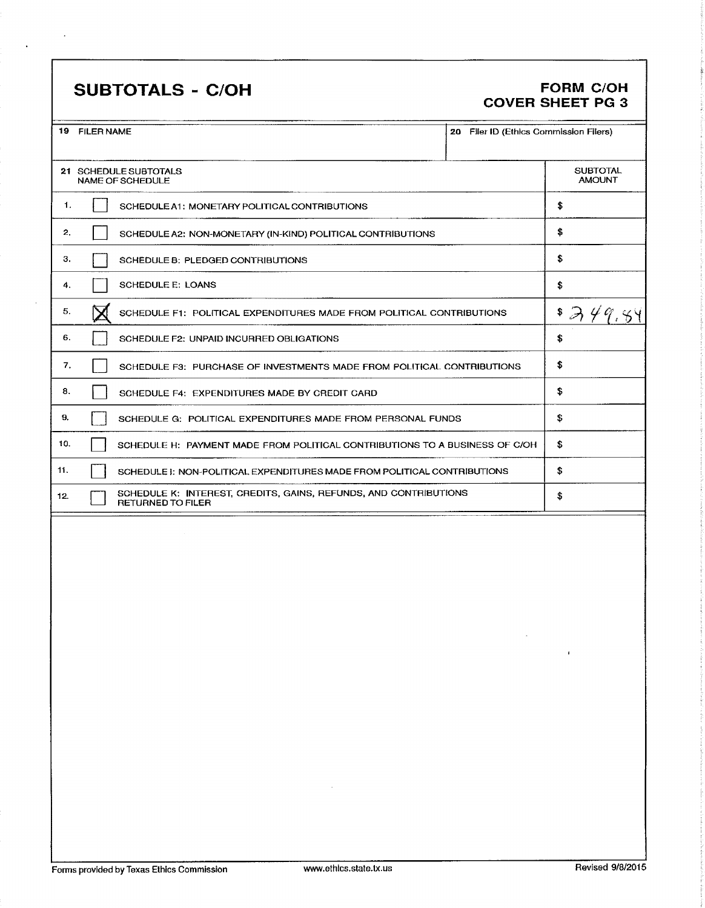# SUBTOTALS - C/OH FORM C/OH

 $\bar{z}$ 

÷,

# COVER SHEET PG 3

| 19 FILER NAME |                                                                                              | 20 Filer ID (Ethics Commission Filers) |                                  |
|---------------|----------------------------------------------------------------------------------------------|----------------------------------------|----------------------------------|
|               | 21 SCHEDULE SUBTOTALS<br>NAME OF SCHEDULE                                                    |                                        | <b>SUBTOTAL</b><br><b>AMOUNT</b> |
| 1.            | SCHEDULE A1: MONETARY POLITICAL CONTRIBUTIONS                                                |                                        | \$                               |
| 2.            | SCHEDULE A2: NON-MONETARY (IN-KIND) POLITICAL CONTRIBUTIONS                                  |                                        | \$                               |
| З.            | SCHEDULE B: PLEDGED CONTRIBUTIONS                                                            |                                        | \$                               |
| 4.            | <b>SCHEDULE E: LOANS</b>                                                                     |                                        | \$                               |
| 5.            | SCHEDULE F1: POLITICAL EXPENDITURES MADE FROM POLITICAL CONTRIBUTIONS                        |                                        | \$                               |
| 6.            | SCHEDULE F2: UNPAID INCURRED OBLIGATIONS                                                     |                                        | \$                               |
| 7.            | SCHEDULE F3: PURCHASE OF INVESTMENTS MADE FROM POLITICAL CONTRIBUTIONS                       |                                        | \$                               |
| 8.            | SCHEDULE F4: EXPENDITURES MADE BY CREDIT CARD                                                |                                        | \$                               |
| 9.            | SCHEDULE G: POLITICAL EXPENDITURES MADE FROM PERSONAL FUNDS                                  |                                        | \$                               |
| 10.           | SCHEDULE H: PAYMENT MADE FROM POLITICAL CONTRIBUTIONS TO A BUSINESS OF C/OH                  |                                        | \$                               |
| 11.           | SCHEDULE I: NON-POLITICAL EXPENDITURES MADE FROM POLITICAL CONTRIBUTIONS                     |                                        | \$                               |
| 12.           | SCHEDULE K: INTEREST, CREDITS, GAINS, REFUNDS, AND CONTRIBUTIONS<br><b>RETURNED TO FILER</b> |                                        | \$                               |
|               | and the control                                                                              |                                        | $\mathbf{r}$                     |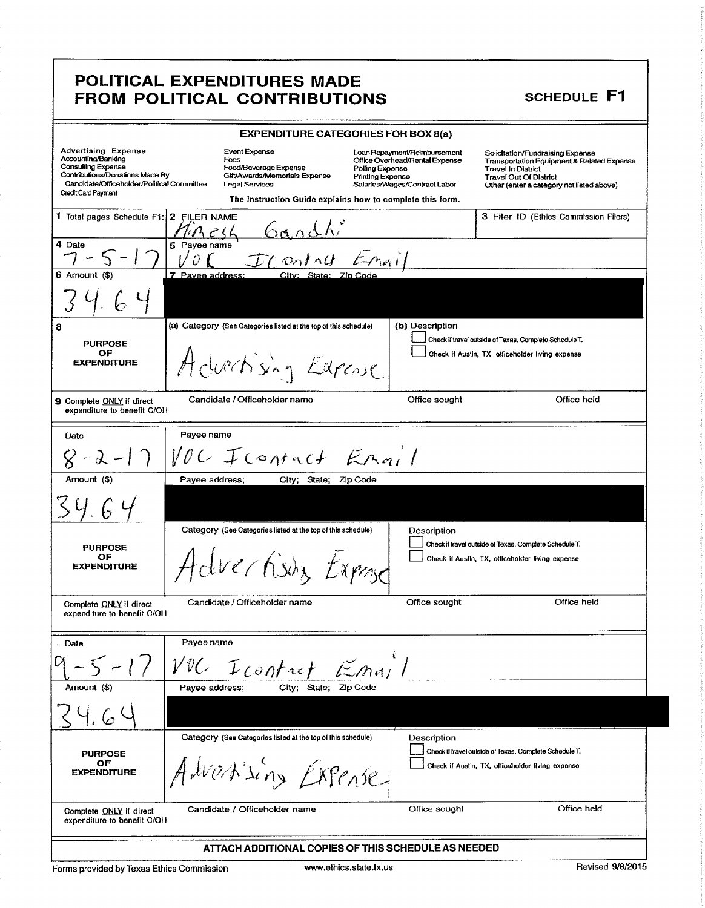### POLITICAL EXPENDITURES MADE FROM POLITICAL CONTRIBUTIONS SCHEDULE F1

| <b>EXPENDITURE CATEGORIES FOR BOX 8(a)</b>                                                                                                                                            |                  |                                                                                                                                                                |                                            |                                                                                                 |                                                                                                                                                                                                      |  |
|---------------------------------------------------------------------------------------------------------------------------------------------------------------------------------------|------------------|----------------------------------------------------------------------------------------------------------------------------------------------------------------|--------------------------------------------|-------------------------------------------------------------------------------------------------|------------------------------------------------------------------------------------------------------------------------------------------------------------------------------------------------------|--|
| Advertising Expense<br>Accounting/Banking<br><b>Consulting Expense</b><br>Contributions/Donations Made By<br>Candidate/Officeholder/Political Committee<br><b>Credit Card Payment</b> |                  | Event Expense<br>Fees<br>Food/Beverage Expense<br>Gift/Awards/Memorials Expense<br>Legal Services<br>The Instruction Guide explains how to complete this form. | Polling Expense<br><b>Printlng Expense</b> | Loan Repayment/Reimbursement<br>Office Overhead/Rental Expense<br>Salaries/Wages/Contract Labor | Solicitation/Fundraising Expense<br><b>Transportation Equipment &amp; Related Expense</b><br><b>Travel In District</b><br><b>Travel Out Of District</b><br>Other (enter a category not listed above) |  |
| 1 Total pages Schedule F1: 2 FILER NAME                                                                                                                                               |                  | $\iota$                                                                                                                                                        |                                            |                                                                                                 | 3 Filer ID (Ethics Commission Filers)                                                                                                                                                                |  |
| 4 Date                                                                                                                                                                                | 5 Payee name     | $\omega_0$ tn $\theta$                                                                                                                                         | $t - nq_1$                                 |                                                                                                 |                                                                                                                                                                                                      |  |
| 6 Amount (\$)                                                                                                                                                                         | 7 Pavee address: | City: State: Zip Code                                                                                                                                          |                                            |                                                                                                 |                                                                                                                                                                                                      |  |
|                                                                                                                                                                                       |                  |                                                                                                                                                                |                                            |                                                                                                 |                                                                                                                                                                                                      |  |
| 8                                                                                                                                                                                     |                  | (a) Category (See Categories listed at the top of this schedule)                                                                                               |                                            | (b) Description                                                                                 |                                                                                                                                                                                                      |  |
| <b>PURPOSE</b><br>ОF<br><b>EXPENDITURE</b>                                                                                                                                            |                  | Advertising Edgewe                                                                                                                                             |                                            |                                                                                                 | Check if travel outside of Texas, Complete Schedule T.<br>Check if Austin, TX, officeholder living expense                                                                                           |  |
| 9 Complete ONLY if direct<br>expenditure to benefit C/OH                                                                                                                              |                  | Candidate / Officeholder name                                                                                                                                  |                                            | Office sought                                                                                   | Office held                                                                                                                                                                                          |  |
| Date                                                                                                                                                                                  | Payee name       |                                                                                                                                                                |                                            |                                                                                                 |                                                                                                                                                                                                      |  |
| $8 - 8$                                                                                                                                                                               |                  | VOC Icarrict Erail                                                                                                                                             |                                            |                                                                                                 |                                                                                                                                                                                                      |  |
| Amount (\$)                                                                                                                                                                           | Payee address;   | City; State; Zip Code                                                                                                                                          |                                            |                                                                                                 |                                                                                                                                                                                                      |  |
|                                                                                                                                                                                       |                  |                                                                                                                                                                |                                            |                                                                                                 |                                                                                                                                                                                                      |  |
| <b>PURPOSE</b><br>ОF<br><b>EXPENDITURE</b>                                                                                                                                            |                  | Category (See Categories listed at the top of this schedule)<br>dverhisin Expose                                                                               |                                            | Description                                                                                     | Check if travel outside of Texas. Complete Schedule T.<br>Check if Austin, TX, officeholder living expense                                                                                           |  |
| Complete ONLY if direct<br>expenditure to benefit C/OH                                                                                                                                |                  | Candidate / Officeholder name                                                                                                                                  |                                            | Office sought                                                                                   | Office held                                                                                                                                                                                          |  |
| Date                                                                                                                                                                                  | Payee name       |                                                                                                                                                                |                                            |                                                                                                 |                                                                                                                                                                                                      |  |
|                                                                                                                                                                                       |                  | VOC Icontrof                                                                                                                                                   | Emy                                        |                                                                                                 |                                                                                                                                                                                                      |  |
| Amount (\$)                                                                                                                                                                           | Payee address;   | City; State; Zip Code                                                                                                                                          |                                            |                                                                                                 |                                                                                                                                                                                                      |  |
|                                                                                                                                                                                       |                  |                                                                                                                                                                |                                            |                                                                                                 |                                                                                                                                                                                                      |  |
| <b>PURPOSE</b><br>OF<br><b>EXPENDITURE</b>                                                                                                                                            |                  | Category (See Categories listed at the top of this schedule)<br>Advanting Expense                                                                              |                                            | Description                                                                                     | Check if travel outside of Texas. Complete Schedule T.<br>Check if Austin, TX, officeholder living expense                                                                                           |  |
| Complete ONLY if direct<br>expenditure to benefit C/OH                                                                                                                                |                  | Candidate / Officeholder name                                                                                                                                  |                                            | Office sought                                                                                   | Office held                                                                                                                                                                                          |  |
|                                                                                                                                                                                       |                  | ATTACH ADDITIONAL COPIES OF THIS SCHEDULE AS NEEDED                                                                                                            |                                            |                                                                                                 |                                                                                                                                                                                                      |  |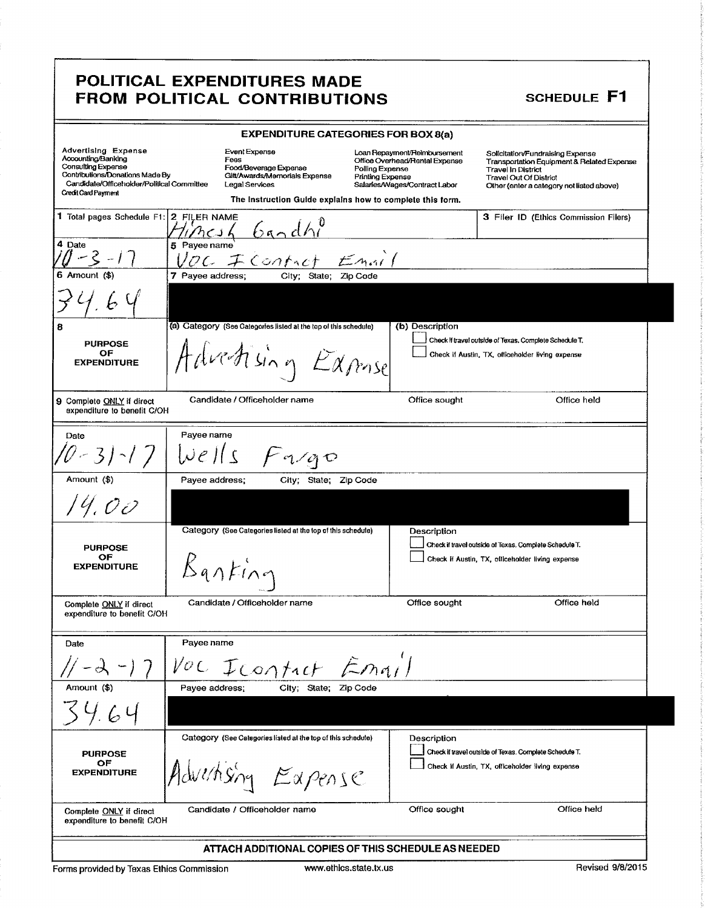### POLITICAL EXPENDITURES MADE FROM POLITICAL CONTRIBUTIONS SCHEDULE Fl

|                                                                                                                                                                         | <b>EXPENDITURE CATEGORIES FOR BOX 8(a)</b>                                                                                                                     |                                                                                                                                               |                                                                                                                                                                                           |
|-------------------------------------------------------------------------------------------------------------------------------------------------------------------------|----------------------------------------------------------------------------------------------------------------------------------------------------------------|-----------------------------------------------------------------------------------------------------------------------------------------------|-------------------------------------------------------------------------------------------------------------------------------------------------------------------------------------------|
| Advertising Expense<br>Accounting/Banking<br>Consulting Expense<br>Contributions/Donations Made By<br>Candidate/Officeholder/Political Committee<br>Credit Card Payment | Event Expense<br>Fees<br>Food/Beverage Expense<br>Gilt/Awards/Memorials Expense<br>Legal Services<br>The Instruction Guide explains how to complete this form. | Loan Repayment/Reimbursement<br>Office Overhead/Rental Expense<br>Polling Expense<br><b>Printing Expense</b><br>Salaries/Wages/Contract Labor | Solicitation/Fundraising Expense<br>Transportation Equipment & Related Expense<br><b>Travel In District</b><br><b>Travel Out Of District</b><br>Other (enter a category not listed above) |
| 1 Total pages Schedule F1:                                                                                                                                              | 2 FILER NAME<br>$6$ andhl<br>$n$ CJI                                                                                                                           |                                                                                                                                               | 3 Filer ID (Ethics Commission Filers)                                                                                                                                                     |
| 4 Date<br>$0 - 3 - 17$                                                                                                                                                  | 5 Payee name<br>OC I Controt<br>Emn1                                                                                                                           |                                                                                                                                               |                                                                                                                                                                                           |
| $6$ Amount $(*)$                                                                                                                                                        | 7 Payee address;<br>City; State; Zip Code                                                                                                                      |                                                                                                                                               |                                                                                                                                                                                           |
|                                                                                                                                                                         |                                                                                                                                                                |                                                                                                                                               |                                                                                                                                                                                           |
| 8                                                                                                                                                                       | (a) Category (See Calegories listed at the top of this schedule)                                                                                               | (b) Description                                                                                                                               |                                                                                                                                                                                           |
| <b>PURPOSE</b>                                                                                                                                                          |                                                                                                                                                                |                                                                                                                                               | Check if travel outside of Texas. Complete Schedule T.                                                                                                                                    |
| ОF<br><b>EXPENDITURE</b>                                                                                                                                                | Advertising Expose                                                                                                                                             |                                                                                                                                               | Check if Austin, TX, officeholder living expense                                                                                                                                          |
| 9 Complete ONLY if direct<br>expenditure to benefit C/OH                                                                                                                | Candidate / Officeholder name                                                                                                                                  | Office sought                                                                                                                                 | Office held                                                                                                                                                                               |
| Date                                                                                                                                                                    | Payee name                                                                                                                                                     |                                                                                                                                               |                                                                                                                                                                                           |
|                                                                                                                                                                         |                                                                                                                                                                |                                                                                                                                               |                                                                                                                                                                                           |
| $0 - 31 - 17$                                                                                                                                                           | $ \nu e  s$<br>$F$ <i>a</i> $q$                                                                                                                                |                                                                                                                                               |                                                                                                                                                                                           |
| Amount (\$)                                                                                                                                                             | Payee address;<br>City; State; Zip Code                                                                                                                        |                                                                                                                                               |                                                                                                                                                                                           |
| 14.00                                                                                                                                                                   |                                                                                                                                                                |                                                                                                                                               |                                                                                                                                                                                           |
| <b>PURPOSE</b><br>OF<br><b>EXPENDITURE</b>                                                                                                                              | Category (See Categories listed at the top of this schedule)<br>$\beta$ anting                                                                                 | Description                                                                                                                                   | Check if travel outside of Texas. Complete Schedule T.<br>Check if Austin, TX, officeholder living expense                                                                                |
| Complete ONLY if direct<br>expenditure to benefit C/OH                                                                                                                  | Candidate / Officeholder name                                                                                                                                  | Office sought                                                                                                                                 | Office held                                                                                                                                                                               |
|                                                                                                                                                                         |                                                                                                                                                                |                                                                                                                                               |                                                                                                                                                                                           |
| Date                                                                                                                                                                    | Payee name                                                                                                                                                     |                                                                                                                                               |                                                                                                                                                                                           |
|                                                                                                                                                                         | VOC Icontact Email                                                                                                                                             |                                                                                                                                               |                                                                                                                                                                                           |
| Amount (\$)                                                                                                                                                             | Payee address;<br>City; State; Zip Code                                                                                                                        |                                                                                                                                               |                                                                                                                                                                                           |
|                                                                                                                                                                         |                                                                                                                                                                |                                                                                                                                               |                                                                                                                                                                                           |
|                                                                                                                                                                         | Category (See Categories listed at the top of this schedule)                                                                                                   | Description                                                                                                                                   |                                                                                                                                                                                           |
| <b>PURPOSE</b>                                                                                                                                                          |                                                                                                                                                                |                                                                                                                                               | Check if travel outside of Texas. Complete Schedule T.                                                                                                                                    |
| ОF<br><b>EXPENDITURE</b>                                                                                                                                                | Advertising Eapense                                                                                                                                            |                                                                                                                                               | Check if Austin, TX, officeholder living expense                                                                                                                                          |